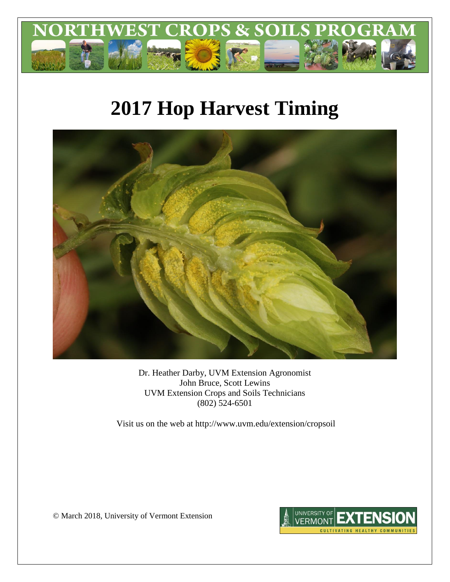

# **2017 Hop Harvest Timing**



Dr. Heather Darby, UVM Extension Agronomist John Bruce, Scott Lewins UVM Extension Crops and Soils Technicians (802) 524-6501

Visit us on the web at http://www.uvm.edu/extension/cropsoil

© March 2018, University of Vermont Extension

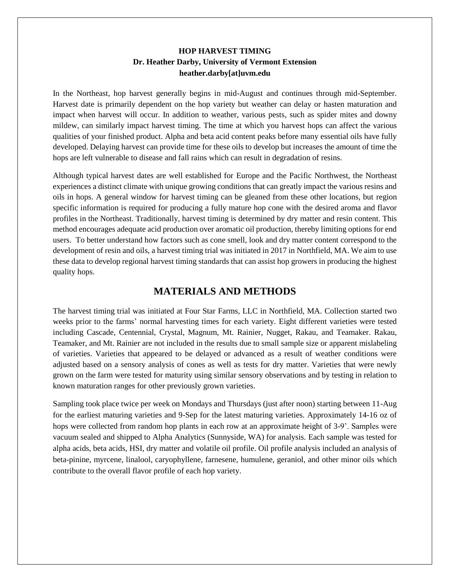#### **HOP HARVEST TIMING Dr. Heather Darby, University of Vermont Extension heather.darby[at]uvm.edu**

In the Northeast, hop harvest generally begins in mid-August and continues through mid-September. Harvest date is primarily dependent on the hop variety but weather can delay or hasten maturation and impact when harvest will occur. In addition to weather, various pests, such as spider mites and downy mildew, can similarly impact harvest timing. The time at which you harvest hops can affect the various qualities of your finished product. Alpha and beta acid content peaks before many essential oils have fully developed. Delaying harvest can provide time for these oils to develop but increases the amount of time the hops are left vulnerable to disease and fall rains which can result in degradation of resins.

Although typical harvest dates are well established for Europe and the Pacific Northwest, the Northeast experiences a distinct climate with unique growing conditions that can greatly impact the various resins and oils in hops. A general window for harvest timing can be gleaned from these other locations, but region specific information is required for producing a fully mature hop cone with the desired aroma and flavor profiles in the Northeast. Traditionally, harvest timing is determined by dry matter and resin content. This method encourages adequate acid production over aromatic oil production, thereby limiting options for end users. To better understand how factors such as cone smell, look and dry matter content correspond to the development of resin and oils, a harvest timing trial was initiated in 2017 in Northfield, MA. We aim to use these data to develop regional harvest timing standards that can assist hop growers in producing the highest quality hops.

# **MATERIALS AND METHODS**

The harvest timing trial was initiated at Four Star Farms, LLC in Northfield, MA. Collection started two weeks prior to the farms' normal harvesting times for each variety. Eight different varieties were tested including Cascade, Centennial, Crystal, Magnum, Mt. Rainier, Nugget, Rakau, and Teamaker. Rakau, Teamaker, and Mt. Rainier are not included in the results due to small sample size or apparent mislabeling of varieties. Varieties that appeared to be delayed or advanced as a result of weather conditions were adjusted based on a sensory analysis of cones as well as tests for dry matter. Varieties that were newly grown on the farm were tested for maturity using similar sensory observations and by testing in relation to known maturation ranges for other previously grown varieties.

Sampling took place twice per week on Mondays and Thursdays (just after noon) starting between 11-Aug for the earliest maturing varieties and 9-Sep for the latest maturing varieties. Approximately 14-16 oz of hops were collected from random hop plants in each row at an approximate height of 3-9'. Samples were vacuum sealed and shipped to Alpha Analytics (Sunnyside, WA) for analysis. Each sample was tested for alpha acids, beta acids, HSI, dry matter and volatile oil profile. Oil profile analysis included an analysis of beta-pinine, myrcene, linalool, caryophyllene, farnesene, humulene, geraniol, and other minor oils which contribute to the overall flavor profile of each hop variety.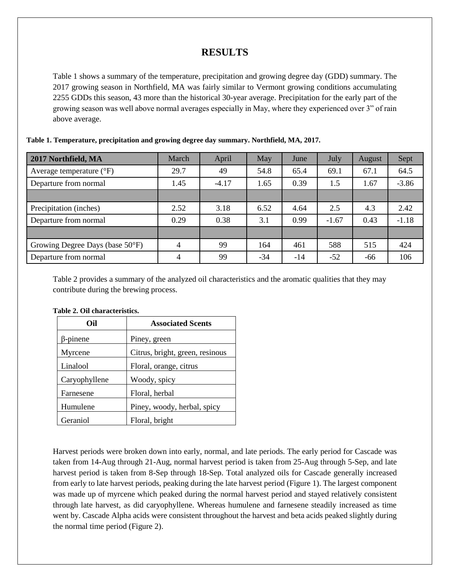# **RESULTS**

Table 1 shows a summary of the temperature, precipitation and growing degree day (GDD) summary. The 2017 growing season in Northfield, MA was fairly similar to Vermont growing conditions accumulating 2255 GDDs this season, 43 more than the historical 30-year average. Precipitation for the early part of the growing season was well above normal averages especially in May, where they experienced over 3" of rain above average.

| 2017 Northfield, MA               | March          | April   | May   | June  | July    | August | Sept    |
|-----------------------------------|----------------|---------|-------|-------|---------|--------|---------|
| Average temperature $(^{\circ}F)$ | 29.7           | 49      | 54.8  | 65.4  | 69.1    | 67.1   | 64.5    |
| Departure from normal             | 1.45           | $-4.17$ | 1.65  | 0.39  | 1.5     | 1.67   | $-3.86$ |
|                                   |                |         |       |       |         |        |         |
| Precipitation (inches)            | 2.52           | 3.18    | 6.52  | 4.64  | 2.5     | 4.3    | 2.42    |
| Departure from normal             | 0.29           | 0.38    | 3.1   | 0.99  | $-1.67$ | 0.43   | $-1.18$ |
|                                   |                |         |       |       |         |        |         |
| Growing Degree Days (base 50°F)   | $\overline{4}$ | 99      | 164   | 461   | 588     | 515    | 424     |
| Departure from normal             | $\overline{4}$ | 99      | $-34$ | $-14$ | $-52$   | -66    | 106     |

**Table 1. Temperature, precipitation and growing degree day summary. Northfield, MA, 2017.**

Table 2 provides a summary of the analyzed oil characteristics and the aromatic qualities that they may contribute during the brewing process.

| Oil             | <b>Associated Scents</b>        |  |
|-----------------|---------------------------------|--|
| $\beta$ -pinene | Piney, green                    |  |
| Myrcene         | Citrus, bright, green, resinous |  |
| Linalool        | Floral, orange, citrus          |  |
| Caryophyllene   | Woody, spicy                    |  |
| Farnesene       | Floral, herbal                  |  |
| Humulene        | Piney, woody, herbal, spicy     |  |
| Geraniol        | Floral, bright                  |  |

#### **Table 2. Oil characteristics.**

Harvest periods were broken down into early, normal, and late periods. The early period for Cascade was taken from 14-Aug through 21-Aug, normal harvest period is taken from 25-Aug through 5-Sep, and late harvest period is taken from 8-Sep through 18-Sep. Total analyzed oils for Cascade generally increased from early to late harvest periods, peaking during the late harvest period (Figure 1). The largest component was made up of myrcene which peaked during the normal harvest period and stayed relatively consistent through late harvest, as did caryophyllene. Whereas humulene and farnesene steadily increased as time went by. Cascade Alpha acids were consistent throughout the harvest and beta acids peaked slightly during the normal time period (Figure 2).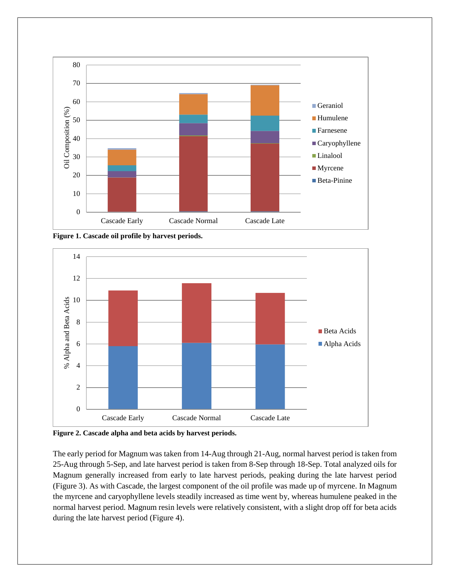

**Figure 1. Cascade oil profile by harvest periods.**



**Figure 2. Cascade alpha and beta acids by harvest periods.**

The early period for Magnum was taken from 14-Aug through 21-Aug, normal harvest period is taken from 25-Aug through 5-Sep, and late harvest period is taken from 8-Sep through 18-Sep. Total analyzed oils for Magnum generally increased from early to late harvest periods, peaking during the late harvest period (Figure 3). As with Cascade, the largest component of the oil profile was made up of myrcene. In Magnum the myrcene and caryophyllene levels steadily increased as time went by, whereas humulene peaked in the normal harvest period. Magnum resin levels were relatively consistent, with a slight drop off for beta acids during the late harvest period (Figure 4).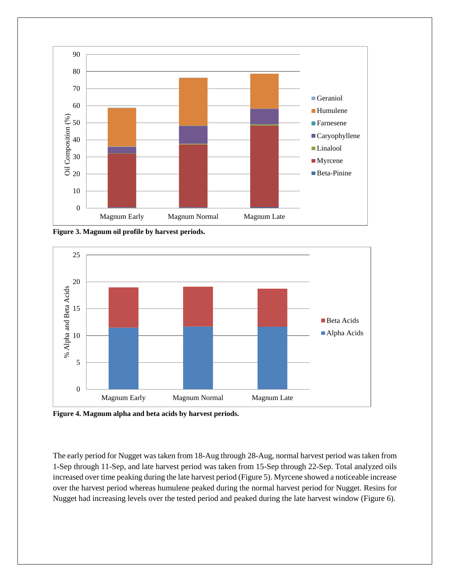

**Figure 3. Magnum oil profile by harvest periods.**



**Figure 4. Magnum alpha and beta acids by harvest periods.**

The early period for Nugget was taken from 18-Aug through 28-Aug, normal harvest period was taken from 1-Sep through 11-Sep, and late harvest period was taken from 15-Sep through 22-Sep. Total analyzed oils increased over time peaking during the late harvest period (Figure 5). Myrcene showed a noticeable increase over the harvest period whereas humulene peaked during the normal harvest period for Nugget. Resins for Nugget had increasing levels over the tested period and peaked during the late harvest window (Figure 6).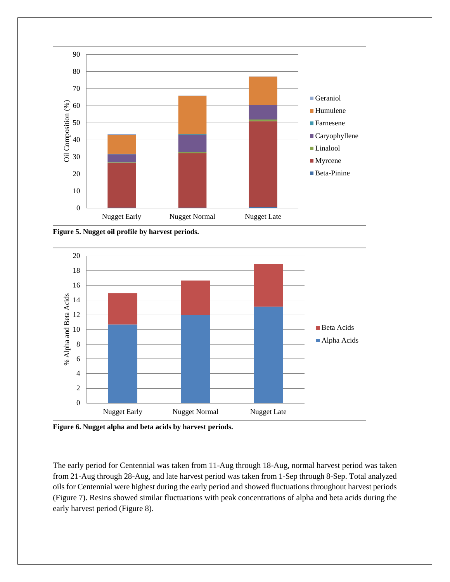

**Figure 5. Nugget oil profile by harvest periods.**



**Figure 6. Nugget alpha and beta acids by harvest periods.**

The early period for Centennial was taken from 11-Aug through 18-Aug, normal harvest period was taken from 21-Aug through 28-Aug, and late harvest period was taken from 1-Sep through 8-Sep. Total analyzed oils for Centennial were highest during the early period and showed fluctuations throughout harvest periods (Figure 7). Resins showed similar fluctuations with peak concentrations of alpha and beta acids during the early harvest period (Figure 8).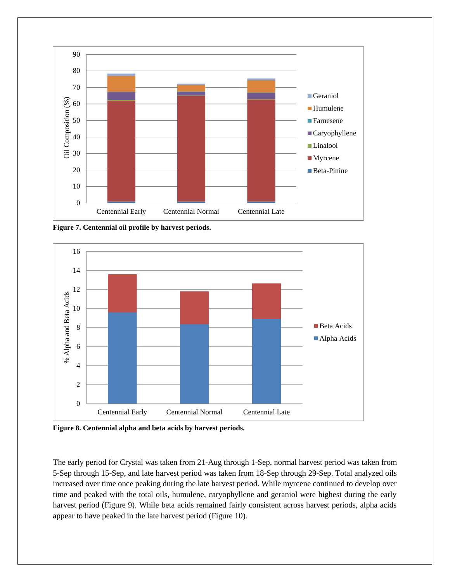

**Figure 7. Centennial oil profile by harvest periods.**



**Figure 8. Centennial alpha and beta acids by harvest periods.** 

The early period for Crystal was taken from 21-Aug through 1-Sep, normal harvest period was taken from 5-Sep through 15-Sep, and late harvest period was taken from 18-Sep through 29-Sep. Total analyzed oils increased over time once peaking during the late harvest period. While myrcene continued to develop over time and peaked with the total oils, humulene, caryophyllene and geraniol were highest during the early harvest period (Figure 9). While beta acids remained fairly consistent across harvest periods, alpha acids appear to have peaked in the late harvest period (Figure 10).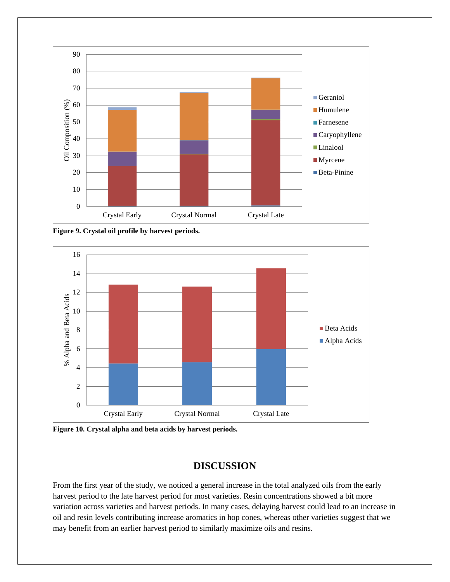

**Figure 9. Crystal oil profile by harvest periods.**



**Figure 10. Crystal alpha and beta acids by harvest periods.**

### **DISCUSSION**

From the first year of the study, we noticed a general increase in the total analyzed oils from the early harvest period to the late harvest period for most varieties. Resin concentrations showed a bit more variation across varieties and harvest periods. In many cases, delaying harvest could lead to an increase in oil and resin levels contributing increase aromatics in hop cones, whereas other varieties suggest that we may benefit from an earlier harvest period to similarly maximize oils and resins.